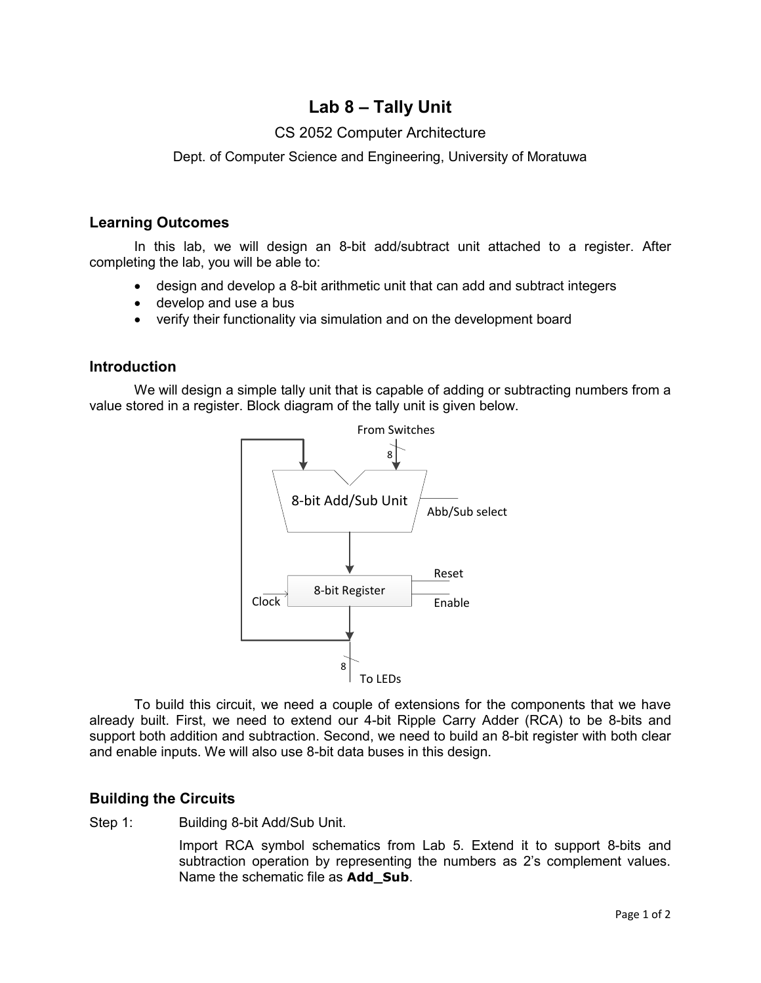# **Lab 8 – Tally Unit**

## CS 2052 Computer Architecture

Dept. of Computer Science and Engineering, University of Moratuwa

#### **Learning Outcomes**

In this lab, we will design an 8-bit add/subtract unit attached to a register. After completing the lab, you will be able to:

- design and develop a 8-bit arithmetic unit that can add and subtract integers
- develop and use a bus
- verify their functionality via simulation and on the development board

### **Introduction**

We will design a simple tally unit that is capable of adding or subtracting numbers from a value stored in a register. Block diagram of the tally unit is given below.



To build this circuit, we need a couple of extensions for the components that we have already built. First, we need to extend our 4-bit Ripple Carry Adder (RCA) to be 8-bits and support both addition and subtraction. Second, we need to build an 8-bit register with both clear and enable inputs. We will also use 8-bit data buses in this design.

## **Building the Circuits**

Step 1: Building 8-bit Add/Sub Unit.

Import RCA symbol schematics from Lab 5. Extend it to support 8-bits and subtraction operation by representing the numbers as 2's complement values. Name the schematic file as **Add\_Sub**.